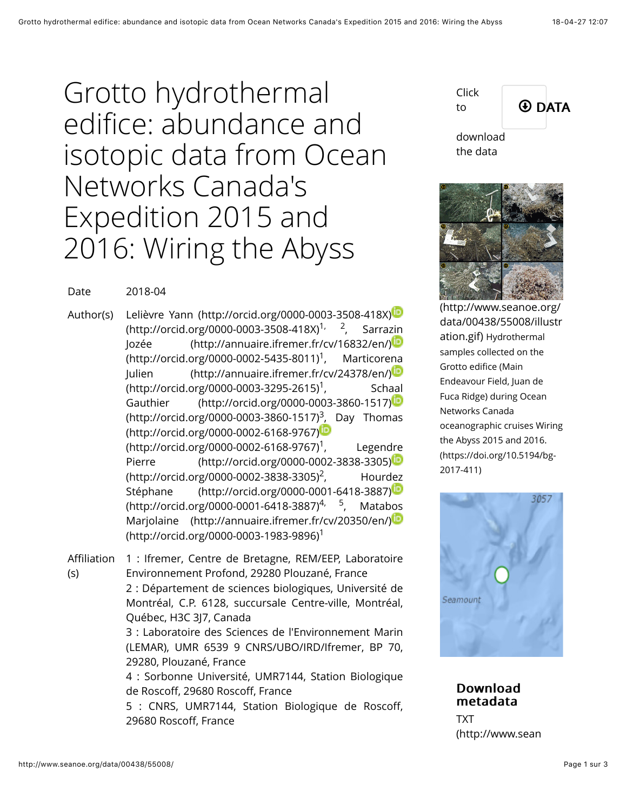Grotto hydrothermal edifice: abundance and isotopic data from Ocean Networks Canada's Expedition 2015 and 2016: Wiring the Abyss



the data

(http://www.seanoe.org/ [data/00438/55008/illustr](http://www.seanoe.org/data/00438/55008/illustration.gif) ation.gif) Hydrothermal samples collected on the Grotto edifice (Main Endeavour Field, Juan de Fuca Ridge) during Ocean Networks Canada oceanographic cruises Wiring the Abyss 2015 and 2016. (https://doi.org/10.5194/bg-2017-411)



**Download** metadata

TXT [\(http://www.sean](http://www.seanoe.org/data/00438/55008/export.txt)

Date 2018-04

Author(s) [Lelièvre Yann \(http://orcid.org/0000-0003-3508-418X\)](http://orcid.org/0000-0003-3508-418X) (http://orcid.org/0000-0003-3508-418X)<sup>1, 2</sup>, Sarrazin [Jozée \(http://annuaire.ifremer.fr/cv/16832/en/\)](http://annuaire.ifremer.fr/cv/16832/en/) (http://orcid.org/0000-0002-5435-8011)<sup>1</sup>, Marticorena [Julien \(http://annuaire.ifremer.fr/cv/24378/en/\)](http://annuaire.ifremer.fr/cv/24378/en/) (http://orcid.org/0000-0003-3295-2615)<sup>1</sup>, Schaal [Gauthier \(http://orcid.org/0000-0003-3860-1517\)](http://orcid.org/0000-0003-3860-1517) [\(http://orcid.org/0000-0003-3860-1517\)](http://orcid.org/0000-0002-6168-9767)<sup>3</sup>, Day Thomas [\(http://orcid.org/0000-0002-6168-9767\)](http://orcid.org/0000-0002-6168-9767) (http://orcid.org/0000-0002-6168-9767)<sup>1</sup>, Legendre [Pierre \(http://orcid.org/0000-0002-3838-3305\)](http://orcid.org/0000-0002-3838-3305) (http://orcid.org/0000-0002-3838-3305)<sup>2</sup>, Hourdez [Stéphane \(http://orcid.org/0000-0001-6418-3887\)](http://orcid.org/0000-0001-6418-3887) (http://orcid.org/0000-0001-6418-3887)<sup>4, 5</sup>, Matabos [Marjolaine \(http://annuaire.ifremer.fr/cv/20350/en/\)](http://annuaire.ifremer.fr/cv/20350/en/) (http://orcid.org/0000-0003-1983-9896) 1

Affiliation (s) 1 : Ifremer, Centre de Bretagne, REM/EEP, Laboratoire Environnement Profond, 29280 Plouzané, France 2 : Département de sciences biologiques, Université de Montréal, C.P. 6128, succursale Centre-ville, Montréal, Québec, H3C 3J7, Canada 3 : Laboratoire des Sciences de l'Environnement Marin (LEMAR), UMR 6539 9 CNRS/UBO/IRD/Ifremer, BP 70, 29280, Plouzané, France 4 : Sorbonne Université, UMR7144, Station Biologique

de Roscoff, 29680 Roscoff, France

5 : CNRS, UMR7144, Station Biologique de Roscoff, 29680 Roscoff, France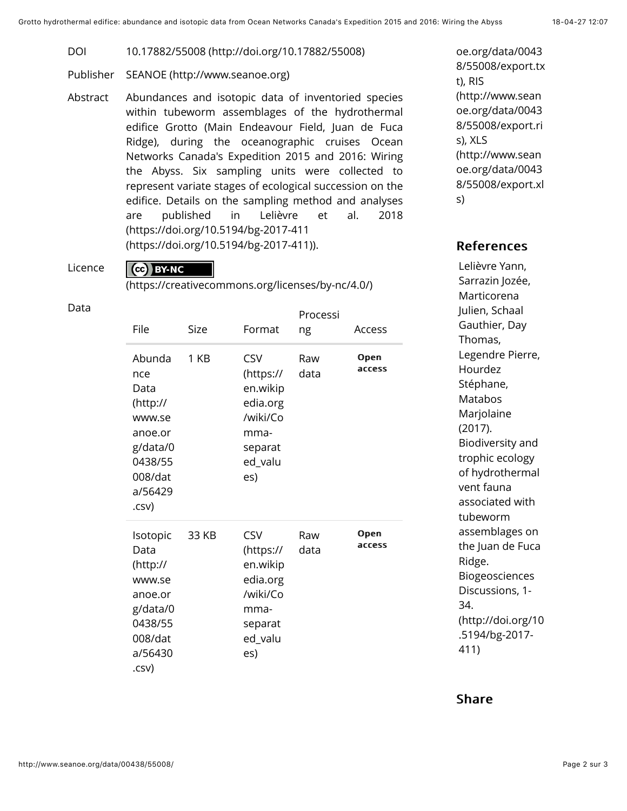DOI [10.17882/55008 \(http://doi.org/10.17882/55008\)](http://doi.org/10.17882/55008)

- Publisher [SEANOE \(http://www.seanoe.org\)](http://www.seanoe.org/)
- Abstract Abundances and isotopic data of inventoried species within tubeworm assemblages of the hydrothermal edifice Grotto (Main Endeavour Field, Juan de Fuca Ridge), during the oceanographic cruises Ocean Networks Canada's Expedition 2015 and 2016: Wiring the Abyss. Six sampling units were collected to represent variate stages of ecological succession on the edifice. Details on the sampling method and analyses are published in Lelièvre et al. 2018 (https://doi.org/10.5194/bg-2017-411 [\(https://doi.org/10.5194/bg-2017-411\)](https://doi.org/10.5194/bg-2017-411)).

Licence

## CC BY-NC

[\(https://creativecommons.org/licenses/by-nc/4.0/\)](https://creativecommons.org/licenses/by-nc/4.0/)

| File                                                                                                         | Size  | Format                                                                                           | Processi<br>ng | Access         |
|--------------------------------------------------------------------------------------------------------------|-------|--------------------------------------------------------------------------------------------------|----------------|----------------|
| Abunda<br>nce<br>Data<br>(http://<br>www.se<br>anoe.or<br>g/data/0<br>0438/55<br>008/dat<br>a/56429<br>.csv) | 1 KB  | <b>CSV</b><br>(https://<br>en.wikip<br>edia.org<br>/wiki/Co<br>mma-<br>separat<br>ed_valu<br>es) | Raw<br>data    | Open<br>access |
| Isotopic<br>Data<br>(htp://<br>www.se<br>anoe.or<br>g/data/0<br>0438/55<br>008/dat<br>a/56430<br>.csv)       | 33 KB | <b>CSV</b><br>(https://<br>en.wikip<br>edia.org<br>/wiki/Co<br>mma-<br>separat<br>ed_valu<br>es) | Raw<br>data    | Open<br>access |

oe.org/data/0043 [8/55008/export.tx](http://www.seanoe.org/data/00438/55008/export.txt) t), RIS (http://www.sean oe.org/data/0043 [8/55008/export.ri](http://www.seanoe.org/data/00438/55008/export.ris) s), XLS (http://www.sean oe.org/data/0043 [8/55008/export.xl](http://www.seanoe.org/data/00438/55008/export.xls) s)

## **References**

Lelièvre Yann, Sarrazin Jozée, Marticorena Julien, Schaal Gauthier, Day Thomas, Legendre Pierre, Hourdez Stéphane, Matabos Marjolaine (2017). Biodiversity and trophic ecology of hydrothermal vent fauna associated with tubeworm assemblages on the Juan de Fuca Ridge. Biogeosciences Discussions, 1- 34. [\(http://doi.org/10](http://doi.org/10.5194/bg-2017-411) .5194/bg-2017- 411)

## Share